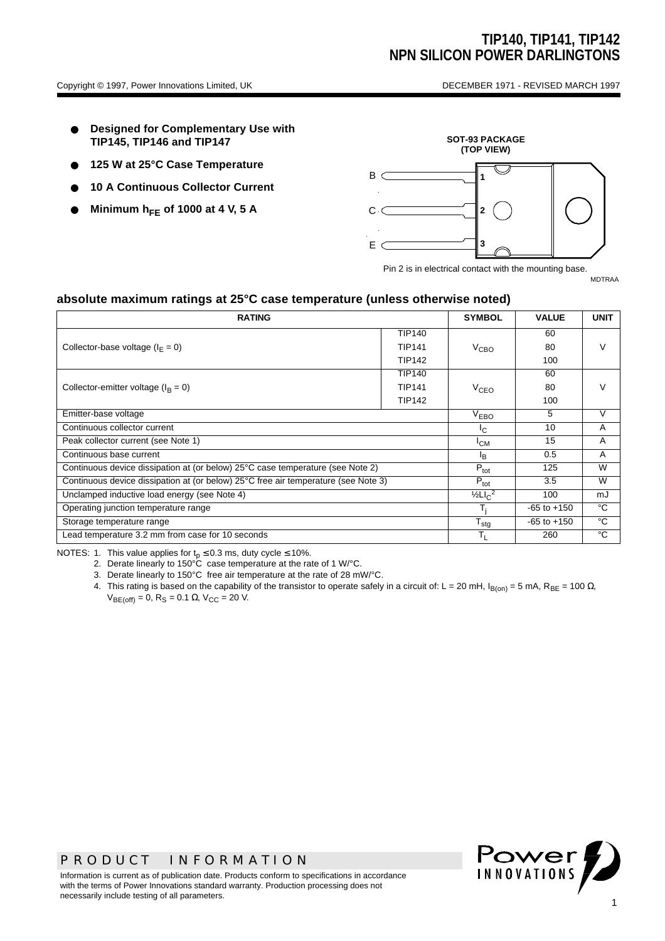- **Designed for Complementary Use with TIP145, TIP146 and TIP147**
- 125 W at 25°C Case Temperature
- **10 A Continuous Collector Current**
- **Minimum hFE of 1000 at 4 V, 5 A**



Pin 2 is in electrical contact with the mounting base.

MDTRAA

#### **absolute maximum ratings at 25°C case temperature (unless otherwise noted)**

| <b>RATING</b>                                                                      |               |                  | <b>VALUE</b>    | <b>UNIT</b>   |  |
|------------------------------------------------------------------------------------|---------------|------------------|-----------------|---------------|--|
|                                                                                    | <b>TIP140</b> |                  | 60              |               |  |
| Collector-base voltage ( $I_F = 0$ )                                               | <b>TIP141</b> | $V_{\rm CBO}$    | 80              | V             |  |
|                                                                                    | <b>TIP142</b> |                  | 100             |               |  |
|                                                                                    | TIP140        |                  | 60              | $\mathcal{L}$ |  |
| Collector-emitter voltage ( $I_R = 0$ )                                            | <b>TIP141</b> | V <sub>CEO</sub> | 80              |               |  |
|                                                                                    | TIP142        |                  | 100             |               |  |
| Emitter-base voltage                                                               |               |                  | 5               | $\vee$        |  |
| Continuous collector current                                                       |               |                  | 10              | A             |  |
| Peak collector current (see Note 1)                                                |               |                  | 15              | A             |  |
| Continuous base current                                                            |               |                  | 0.5             | A             |  |
| Continuous device dissipation at (or below) 25°C case temperature (see Note 2)     |               |                  | 125             | W             |  |
| Continuous device dissipation at (or below) 25°C free air temperature (see Note 3) |               |                  | 3.5             | W             |  |
| Unclamped inductive load energy (see Note 4)                                       |               |                  | 100             | mJ            |  |
| Operating junction temperature range                                               |               |                  | $-65$ to $+150$ | °C            |  |
| Storage temperature range                                                          |               |                  | $-65$ to $+150$ | °C            |  |
| Lead temperature 3.2 mm from case for 10 seconds                                   |               |                  | 260             | °C            |  |

NOTES: 1. This value applies for  $t_p \le 0.3$  ms, duty cycle  $\le 10\%$ .

2. Derate linearly to 150°C case temperature at the rate of 1 W/°C.

3. Derate linearly to 150°C free air temperature at the rate of 28 mW/°C.

4. This rating is based on the capability of the transistor to operate safely in a circuit of: L = 20 mH, I<sub>B(on)</sub> = 5 mA, R<sub>BE</sub> = 100 Ω,  $V_{BE(off)} = 0$ , R<sub>S</sub> = 0.1 Ω, V<sub>CC</sub> = 20 V.



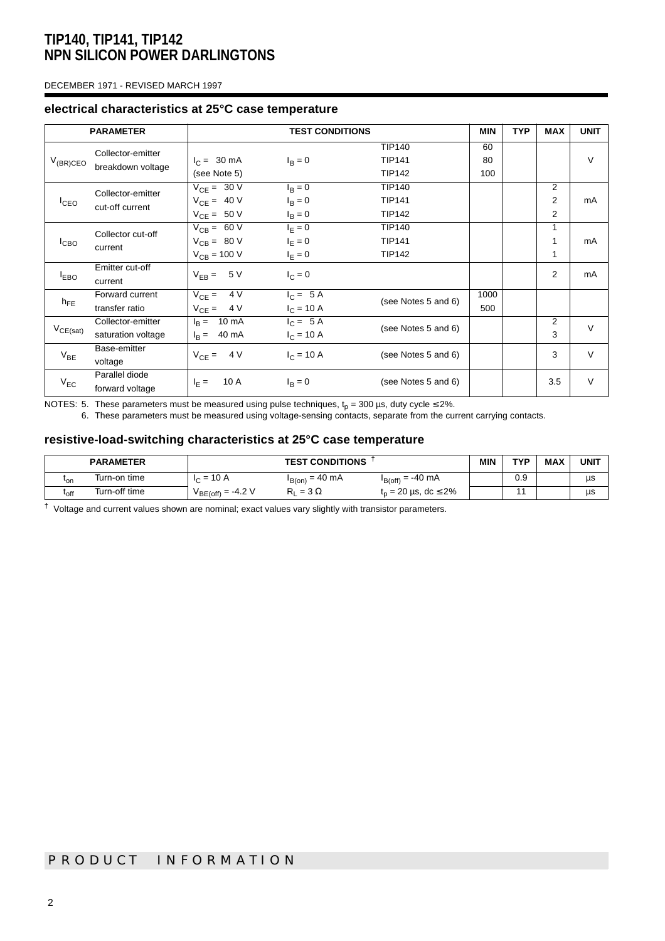#### DECEMBER 1971 - REVISED MARCH 1997

#### **electrical characteristics at 25°C case temperature**

| <b>PARAMETER</b> |                                         | <b>TEST CONDITIONS</b>                                 |                                           |                                                 | <b>MIN</b>      | <b>TYP</b> | <b>MAX</b>  | <b>UNIT</b> |
|------------------|-----------------------------------------|--------------------------------------------------------|-------------------------------------------|-------------------------------------------------|-----------------|------------|-------------|-------------|
| $V_{(BR)CEO}$    | Collector-emitter<br>breakdown voltage  | $I_C = 30 \text{ mA}$<br>(see Note 5)                  | $I_B = 0$                                 | <b>TIP140</b><br><b>TIP141</b><br><b>TIP142</b> | 60<br>80<br>100 |            |             | $\vee$      |
| $I_{CEO}$        | Collector-emitter<br>cut-off current    | $V_{CE} = 30 V$<br>$V_{CE} = 40 V$<br>$V_{CE} = 50 V$  | $I_{\rm B} = 0$<br>$I_B = 0$<br>$I_B = 0$ | <b>TIP140</b><br><b>TIP141</b><br><b>TIP142</b> |                 |            | 2<br>2<br>2 | mA          |
| I <sub>CBO</sub> | Collector cut-off<br>current            | $V_{CB} = 60 V$<br>$V_{CB} = 80 V$<br>$V_{CB} = 100 V$ | $I_F = 0$<br>$I_F = 0$<br>$I_F = 0$       | <b>TIP140</b><br><b>TIP141</b><br><b>TIP142</b> |                 |            | 1<br>1<br>1 | mA          |
| $I_{EBO}$        | Emitter cut-off<br>current              | $V_{EB} = 5 V$                                         | $I_C = 0$                                 |                                                 |                 |            | 2           | mA          |
| $h_{FE}$         | Forward current<br>transfer ratio       | 4 V<br>$V_{CF} =$<br>$V_{CE} = 4 V$                    | $I_C = 5A$<br>$I_C = 10 A$                | (see Notes 5 and 6)                             | 1000<br>500     |            |             |             |
| $V_{CE(sat)}$    | Collector-emitter<br>saturation voltage | $I_R = 10 \text{ mA}$<br>$I_R = 40 \text{ mA}$         | $I_C = 5A$<br>$I_C = 10 A$                | (see Notes 5 and 6)                             |                 |            | 2<br>3      | $\vee$      |
| $V_{BE}$         | Base-emitter<br>voltage                 | $V_{CF} = 4 V$                                         | $I_C = 10 A$                              | (see Notes 5 and 6)                             |                 |            | 3           | $\vee$      |
| $V_{EC}$         | Parallel diode<br>forward voltage       | 10 A<br>$I_F =$                                        | $I_R = 0$                                 | (see Notes 5 and 6)                             |                 |            | 3.5         | $\vee$      |

NOTES: 5. These parameters must be measured using pulse techniques,  ${\rm t_p}$  = 300 µs, duty cycle ≤ 2%.

6. These parameters must be measured using voltage-sensing contacts, separate from the current carrying contacts.

#### **resistive-load-switching characteristics at 25°C case temperature**

|                             | <b>PARAMETER</b> | <b>TEST CONDITIONS</b> |                     |                                      | MIN | <b>TYP</b> | MAX | <b>UNIT</b> |
|-----------------------------|------------------|------------------------|---------------------|--------------------------------------|-----|------------|-----|-------------|
| 'on                         | Turn-on time     | $I_C = 10 A$           | $I_{B(0n)} = 40$ mA | $I_{B(off)} = -40$ mA                |     | 0.9        |     | us          |
| $\mathfrak{r}_{\text{off}}$ | Turn-off time    | $V_{BE(off)} = -4.2 V$ | $= 3 \Omega$        | $t_{p} = 20 \,\mu s, \, dc \leq 2\%$ |     |            |     | μs          |

**†** Voltage and current values shown are nominal; exact values vary slightly with transistor parameters.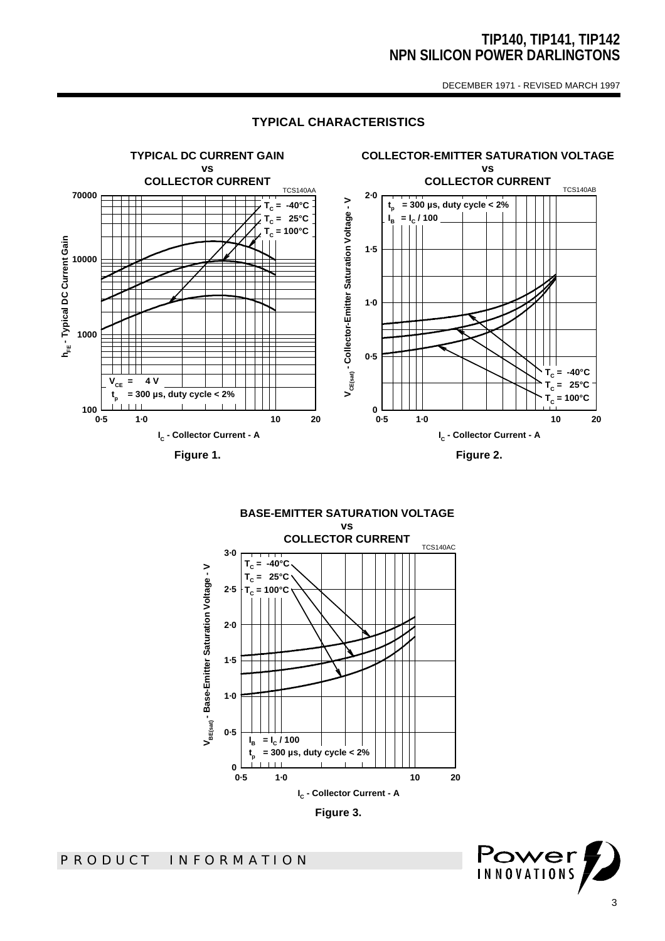DECEMBER 1971 - REVISED MARCH 1997



### **TYPICAL CHARACTERISTICS**

**BASE-EMITTER SATURATION VOLTAGE vs COLLECTOR CURRENT** TCS140AC **3·0 = -40°C**  $T_c$ V<sub>BE(sat)</sub> - Base-Emitter Saturation Voltage - V **VBE(sat) - Base-Emitter Saturation Voltage - V TC = 25°C 2·5 = 100°C TC 2·0** ורד **1·5 1·0 0·5**  $\mathbf{l}_{\mathbf{B}}$  **= I<sup>C</sup> / 100 = 300 µs, duty cycle < 2% tp**  $\mathbf{1}$ 0<br>0.5 **0·5 1·0 10 20 IC - Collector Current - A**



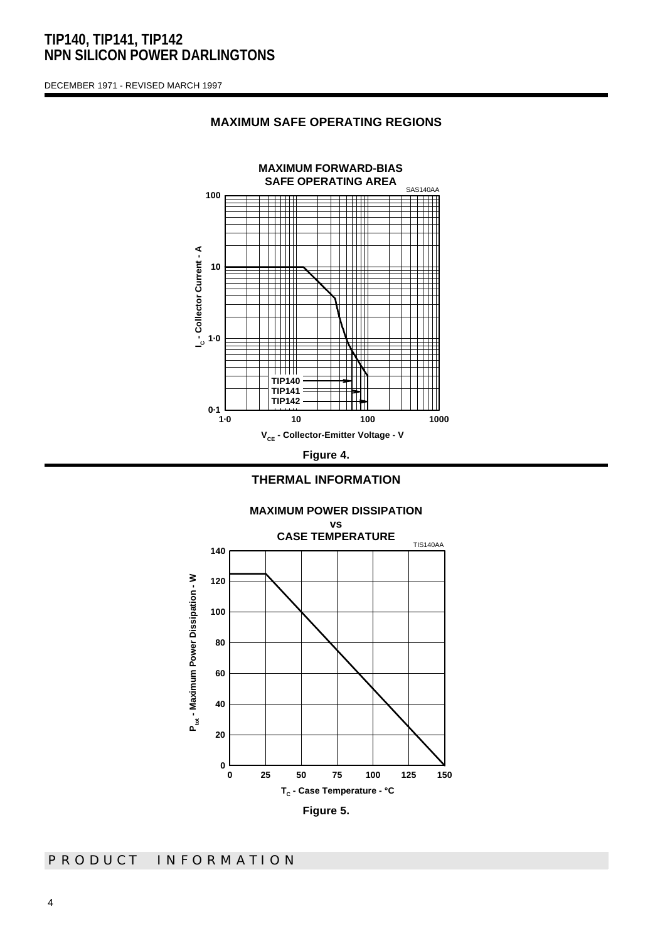DECEMBER 1971 - REVISED MARCH 1997

### **MAXIMUM SAFE OPERATING REGIONS**





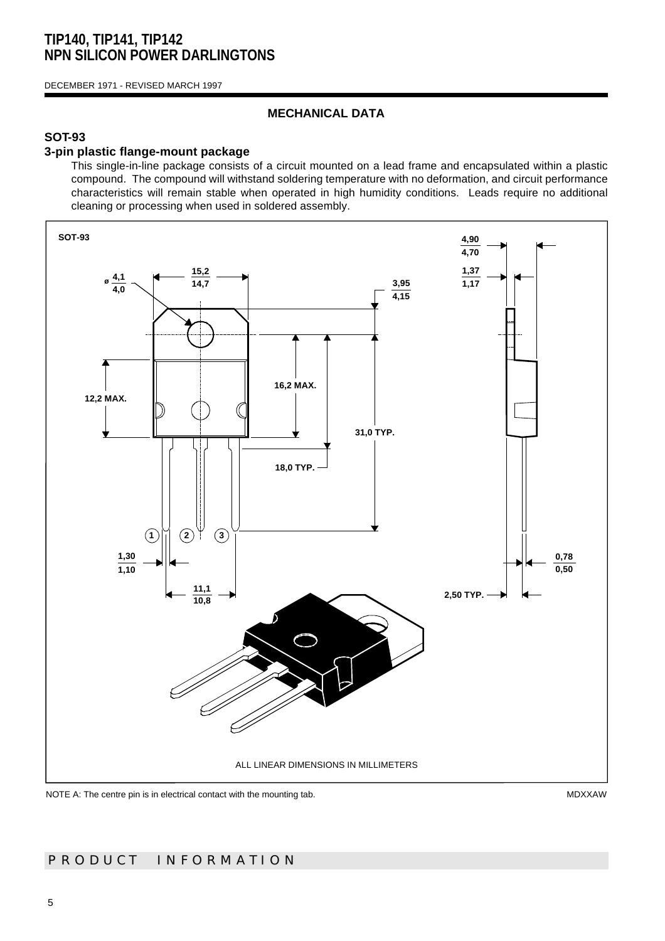DECEMBER 1971 - REVISED MARCH 1997

### **MECHANICAL DATA**

### **SOT-93**

### **3-pin plastic flange-mount package**

This single-in-line package consists of a circuit mounted on a lead frame and encapsulated within a plastic compound. The compound will withstand soldering temperature with no deformation, and circuit performance characteristics will remain stable when operated in high humidity conditions. Leads require no additional cleaning or processing when used in soldered assembly.